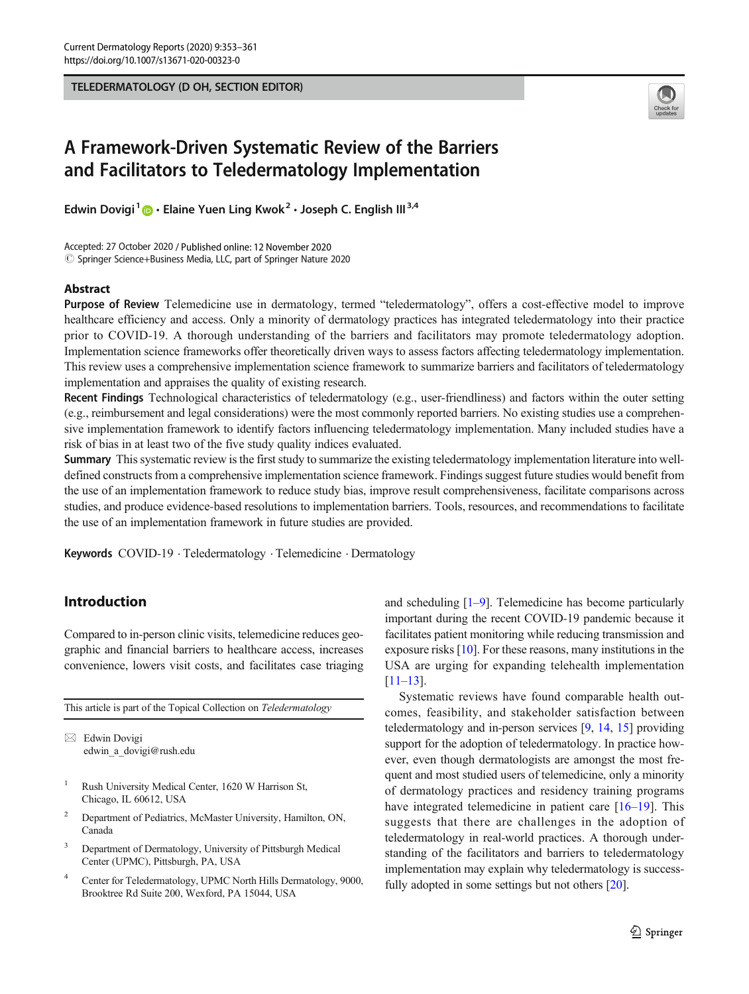TELEDERMATOLOGY (D OH, SECTION EDITOR)

# A Framework-Driven Systematic Review of the Barriers and Facilitators to Teledermatology Implementation

Edwin Dovigi<sup>1</sup>  $\mathbf{D} \cdot$  Elaine Yuen Ling Kwok<sup>2</sup>  $\cdot$  Joseph C. English III<sup>3,4</sup>

Accepted: 27 October 2020 / Published online: 12 November 2020

 $\oslash$  Springer Science+Business Media, LLC, part of Springer Nature 2020 Abstract Purpose of Review Telemedicine use in dermatology, termed "teledermatology", offers a cost-effective model to improve healthcare efficiency and access. Only a minority of dermatology practices has integrated teledermatology into their practice prior to COVID-19. A thorough understanding of the barriers and facilitators may promote teledermatology adoption. Implementation science frameworks offer theoretically driven ways to assess factors affecting teledermatology implementation. This review uses a comprehensive implementation science framework to summarize barriers and facilitators of teledermatology implementation and appraises the quality of existing research.

Recent Findings Technological characteristics of teledermatology (e.g., user-friendliness) and factors within the outer setting (e.g., reimbursement and legal considerations) were the most commonly reported barriers. No existing studies use a comprehensive implementation framework to identify factors influencing teledermatology implementation. Many included studies have a risk of bias in at least two of the five study quality indices evaluated.

Summary This systematic review is the first study to summarize the existing teledermatology implementation literature into welldefined constructs from a comprehensive implementation science framework. Findings suggest future studies would benefit from the use of an implementation framework to reduce study bias, improve result comprehensiveness, facilitate comparisons across studies, and produce evidence-based resolutions to implementation barriers. Tools, resources, and recommendations to facilitate the use of an implementation framework in future studies are provided.

Keywords COVID-19 . Teledermatology . Telemedicine . Dermatology

# Introduction

Compared to in-person clinic visits, telemedicine reduces geographic and financial barriers to healthcare access, increases convenience, lowers visit costs, and facilitates case triaging

This article is part of the Topical Collection on Teledermatology

 $\boxtimes$  Edwin Dovigi [edwin\\_a\\_dovigi@rush.edu](mailto:edwin_a_dovigi@rush.edu)

- <sup>1</sup> Rush University Medical Center, 1620 W Harrison St, Chicago, IL 60612, USA
- <sup>2</sup> Department of Pediatrics, McMaster University, Hamilton, ON, Canada
- <sup>3</sup> Department of Dermatology, University of Pittsburgh Medical Center (UPMC), Pittsburgh, PA, USA
- <sup>4</sup> Center for Teledermatology, UPMC North Hills Dermatology, 9000, Brooktree Rd Suite 200, Wexford, PA 15044, USA

and scheduling [[1](#page-6-0)–[9](#page-7-0)]. Telemedicine has become particularly important during the recent COVID-19 pandemic because it facilitates patient monitoring while reducing transmission and exposure risks [\[10](#page-7-0)]. For these reasons, many institutions in the USA are urging for expanding telehealth implementation [\[11](#page-7-0)–[13\]](#page-7-0).

Systematic reviews have found comparable health outcomes, feasibility, and stakeholder satisfaction between teledermatology and in-person services [\[9](#page-7-0), [14](#page-7-0), [15](#page-7-0)] providing support for the adoption of teledermatology. In practice however, even though dermatologists are amongst the most frequent and most studied users of telemedicine, only a minority of dermatology practices and residency training programs have integrated telemedicine in patient care [\[16](#page-7-0)–[19](#page-7-0)]. This suggests that there are challenges in the adoption of teledermatology in real-world practices. A thorough understanding of the facilitators and barriers to teledermatology implementation may explain why teledermatology is successfully adopted in some settings but not others [\[20](#page-7-0)].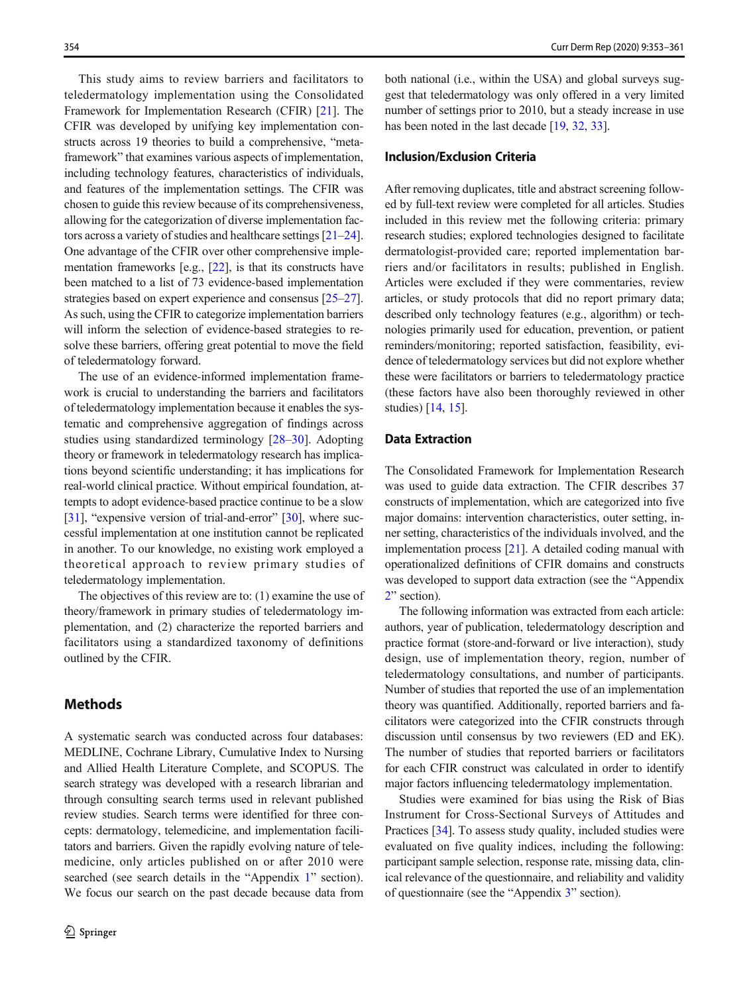This study aims to review barriers and facilitators to teledermatology implementation using the Consolidated Framework for Implementation Research (CFIR) [[21\]](#page-7-0). The CFIR was developed by unifying key implementation constructs across 19 theories to build a comprehensive, "metaframework" that examines various aspects of implementation, including technology features, characteristics of individuals, and features of the implementation settings. The CFIR was chosen to guide this review because of its comprehensiveness, allowing for the categorization of diverse implementation factors across a variety of studies and healthcare settings [\[21](#page-7-0)–[24\]](#page-7-0). One advantage of the CFIR over other comprehensive implementation frameworks [e.g., [\[22\]](#page-7-0), is that its constructs have been matched to a list of 73 evidence-based implementation strategies based on expert experience and consensus [\[25](#page-7-0)–[27\]](#page-7-0). As such, using the CFIR to categorize implementation barriers will inform the selection of evidence-based strategies to resolve these barriers, offering great potential to move the field of teledermatology forward.

The use of an evidence-informed implementation framework is crucial to understanding the barriers and facilitators of teledermatology implementation because it enables the systematic and comprehensive aggregation of findings across studies using standardized terminology [[28](#page-7-0)–[30](#page-7-0)]. Adopting theory or framework in teledermatology research has implications beyond scientific understanding; it has implications for real-world clinical practice. Without empirical foundation, attempts to adopt evidence-based practice continue to be a slow [\[31\]](#page-7-0), "expensive version of trial-and-error" [\[30](#page-7-0)], where successful implementation at one institution cannot be replicated in another. To our knowledge, no existing work employed a theoretical approach to review primary studies of teledermatology implementation.

The objectives of this review are to: (1) examine the use of theory/framework in primary studies of teledermatology implementation, and (2) characterize the reported barriers and facilitators using a standardized taxonomy of definitions outlined by the CFIR.

## Methods

A systematic search was conducted across four databases: MEDLINE, Cochrane Library, Cumulative Index to Nursing and Allied Health Literature Complete, and SCOPUS. The search strategy was developed with a research librarian and through consulting search terms used in relevant published review studies. Search terms were identified for three concepts: dermatology, telemedicine, and implementation facilitators and barriers. Given the rapidly evolving nature of telemedicine, only articles published on or after 2010 were searched (see search details in the "Appendix 1" section). We focus our search on the past decade because data from

both national (i.e., within the USA) and global surveys suggest that teledermatology was only offered in a very limited number of settings prior to 2010, but a steady increase in use has been noted in the last decade [\[19,](#page-7-0) [32,](#page-7-0) [33\]](#page-7-0).

### Inclusion/Exclusion Criteria

After removing duplicates, title and abstract screening followed by full-text review were completed for all articles. Studies included in this review met the following criteria: primary research studies; explored technologies designed to facilitate dermatologist-provided care; reported implementation barriers and/or facilitators in results; published in English. Articles were excluded if they were commentaries, review articles, or study protocols that did no report primary data; described only technology features (e.g., algorithm) or technologies primarily used for education, prevention, or patient reminders/monitoring; reported satisfaction, feasibility, evidence of teledermatology services but did not explore whether these were facilitators or barriers to teledermatology practice (these factors have also been thoroughly reviewed in other studies) [[14,](#page-7-0) [15](#page-7-0)].

#### Data Extraction

The Consolidated Framework for Implementation Research was used to guide data extraction. The CFIR describes 37 constructs of implementation, which are categorized into five major domains: intervention characteristics, outer setting, inner setting, characteristics of the individuals involved, and the implementation process [[21](#page-7-0)]. A detailed coding manual with operationalized definitions of CFIR domains and constructs was developed to support data extraction (see the "Appendix 2" section).

The following information was extracted from each article: authors, year of publication, teledermatology description and practice format (store-and-forward or live interaction), study design, use of implementation theory, region, number of teledermatology consultations, and number of participants. Number of studies that reported the use of an implementation theory was quantified. Additionally, reported barriers and facilitators were categorized into the CFIR constructs through discussion until consensus by two reviewers (ED and EK). The number of studies that reported barriers or facilitators for each CFIR construct was calculated in order to identify major factors influencing teledermatology implementation.

Studies were examined for bias using the Risk of Bias Instrument for Cross-Sectional Surveys of Attitudes and Practices [[34](#page-7-0)]. To assess study quality, included studies were evaluated on five quality indices, including the following: participant sample selection, response rate, missing data, clinical relevance of the questionnaire, and reliability and validity of questionnaire (see the "Appendix 3" section).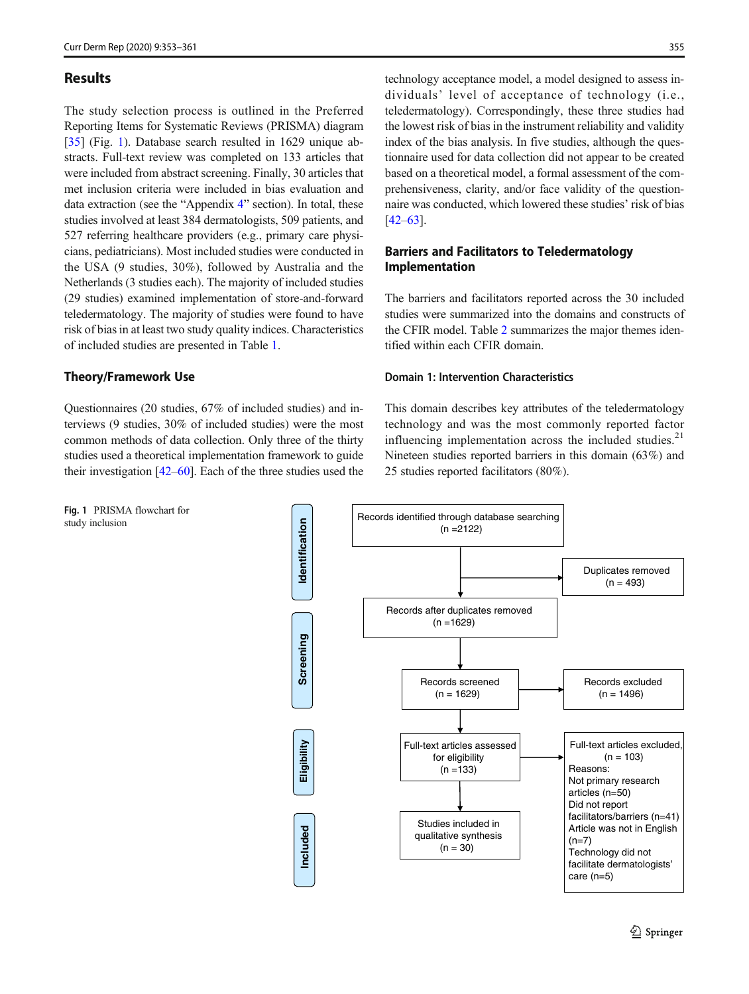# Results

The study selection process is outlined in the Preferred Reporting Items for Systematic Reviews (PRISMA) diagram [\[35](#page-7-0)] (Fig. 1). Database search resulted in 1629 unique abstracts. Full-text review was completed on 133 articles that were included from abstract screening. Finally, 30 articles that met inclusion criteria were included in bias evaluation and data extraction (see the "Appendix 4" section). In total, these studies involved at least 384 dermatologists, 509 patients, and 527 referring healthcare providers (e.g., primary care physicians, pediatricians). Most included studies were conducted in the USA (9 studies, 30%), followed by Australia and the Netherlands (3 studies each). The majority of included studies (29 studies) examined implementation of store-and-forward teledermatology. The majority of studies were found to have risk of bias in at least two study quality indices. Characteristics of included studies are presented in Table [1.](#page-3-0)

### Theory/Framework Use

Questionnaires (20 studies, 67% of included studies) and interviews (9 studies, 30% of included studies) were the most common methods of data collection. Only three of the thirty studies used a theoretical implementation framework to guide their investigation  $[42-60]$  $[42-60]$  $[42-60]$  $[42-60]$ . Each of the three studies used the

technology acceptance model, a model designed to assess individuals' level of acceptance of technology (i.e., teledermatology). Correspondingly, these three studies had the lowest risk of bias in the instrument reliability and validity index of the bias analysis. In five studies, although the questionnaire used for data collection did not appear to be created based on a theoretical model, a formal assessment of the comprehensiveness, clarity, and/or face validity of the questionnaire was conducted, which lowered these studies' risk of bias  $[42-63]$  $[42-63]$  $[42-63]$ .

# Barriers and Facilitators to Teledermatology Implementation

The barriers and facilitators reported across the 30 included studies were summarized into the domains and constructs of the CFIR model. Table [2](#page-4-0) summarizes the major themes identified within each CFIR domain.

#### Domain 1: Intervention Characteristics

This domain describes key attributes of the teledermatology technology and was the most commonly reported factor influencing implementation across the included studies. $21$ Nineteen studies reported barriers in this domain (63%) and 25 studies reported facilitators (80%).



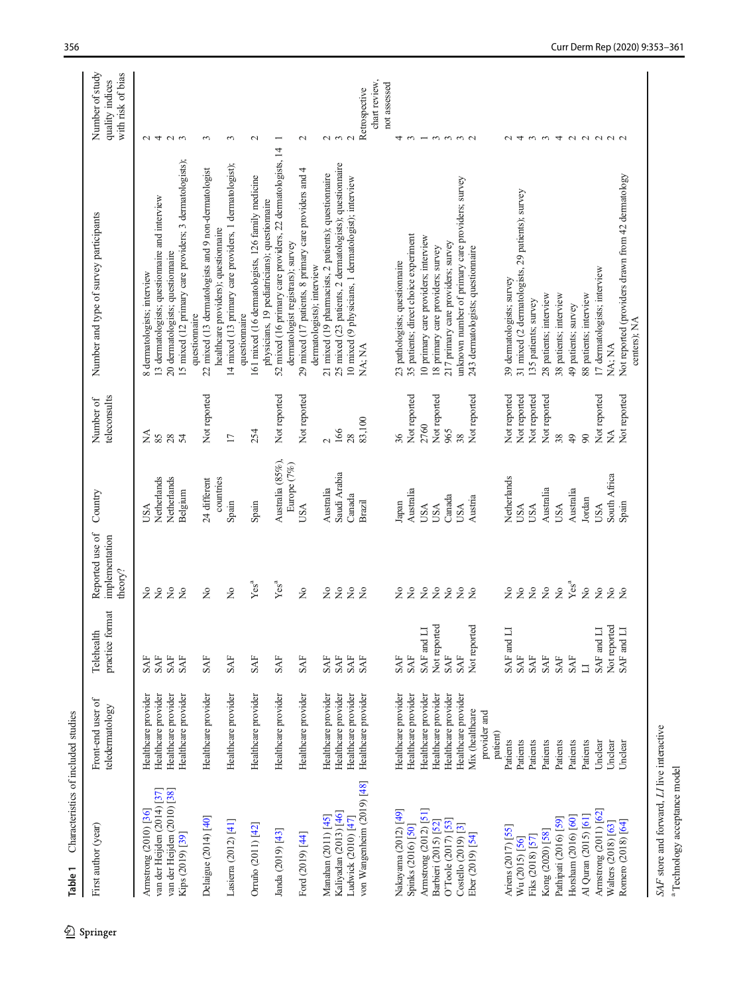<span id="page-3-0"></span>

| First author (year)                                                                | Front-end user of<br>teledermatology                              | practice format<br>Telehealth          | Reported use of<br>implementation<br>theory? | Country                           | Number of<br>teleconsults | Number and type of survey participants                                                                           | Number of study<br>with risk of bias<br>quality indices |
|------------------------------------------------------------------------------------|-------------------------------------------------------------------|----------------------------------------|----------------------------------------------|-----------------------------------|---------------------------|------------------------------------------------------------------------------------------------------------------|---------------------------------------------------------|
| van der Heijden (2010) [38]<br>van der Heijden (2014) [37]<br>Amstrong (2010) [36] | Healthcare provider<br>Healthcare provider<br>Healthcare provider | <b>SAF</b><br><b>SAF</b><br><b>SAF</b> | $\mathsf{S}$<br>$\tilde{z}$<br>ż             | Netherlands<br>Netherlands<br>USA | ≨ន្តដ                     | 13 dermatologists; questionnaire and interview<br>20 dermatologists; questiomaire<br>8 dermatologists, interview | $\sim 4$                                                |
| Kips (2019) [39]                                                                   | Healthcare provider                                               | <b>SAF</b>                             | $\tilde{z}$                                  | Belgium                           |                           | 15 mixed (12 primary care providers; 3 dermatologists);                                                          | $\sim$ $\sim$                                           |
| Delaigue (2014) [40]                                                               | Healthcare provider                                               | <b>SAF</b>                             | $\tilde{z}$                                  | 24 different                      | Not reported              | 22 mixed (13 dermatologists and 9 non-dermatologist<br>questionnaire                                             | 3                                                       |
| Lasierra (2012) [41]                                                               | Healthcare provider                                               | <b>SAF</b>                             | $\tilde{z}$                                  | countries<br>Spain                | $\overline{17}$           | 14 mixed (13 primary care providers, 1 dermatologist);<br>healthcare providers); questiomaire                    | 3                                                       |
| Orruño (2011) [42]                                                                 | Healthcare provider                                               | <b>SAF</b>                             | Yes <sup>a</sup>                             | Spain                             | 254                       | 161 mixed (16 dermatologists, 126 family medicine<br>questionnaire                                               | $\sim$                                                  |
| Janda (2019) [43]                                                                  | Healthcare provider                                               | <b>SAF</b>                             | Yes <sup>a</sup>                             | Australia (85%),                  | Not reported              | 52 mixed (16 primary care providers, 22 dematologists, 14<br>physicians, 19 pediatricians); questionnaire        | $\overline{ }$                                          |
| Ford (2019) [44]                                                                   | Healthcare provider                                               | <b>SAF</b>                             | $\tilde{z}$                                  | Europe (7%)<br>USA                | Not reported              | 29 mixed (17 patients, 8 primary care providers and 4<br>dermatologist registrars); survey                       | $\sim$                                                  |
| Manahan (2011) [45]                                                                | Healthcare provider                                               | <b>SAF</b>                             | $\tilde{z}$                                  | Australia                         | $\sim$                    | 21 mixed (19 pharmacists, 2 patients); questionnaire<br>dermatologists); interview                               |                                                         |
| Kaliyadan (2013) [46]                                                              | Healthcare provider                                               | SAF                                    | $\tilde{\mathsf{X}}$                         | Saudi Arabia                      | 166                       | 25 mixed (23 patients, 2 dermatologists); questionnaire                                                          | $\sim$ $\sim$                                           |
| Ludwick (2010) [47]                                                                | Healthcare provider                                               | <b>SAF</b><br>SAF                      | 22                                           | Canada                            | 28                        | 10 mixed (9 physicians, 1 dermatologist); interview                                                              | $\sim$                                                  |
| von Wangenheim (2019) [48]                                                         | Healthcare provider                                               |                                        |                                              | Brazil                            | 83,100                    | NA; NA                                                                                                           | chart review,<br>not assessed<br>Retrospective          |
| Nakayama (2012) [49]                                                               | Healthcare provider                                               | <b>SAF</b>                             | 2                                            | Japan                             | 36                        | 23 pathologists; questionnaire                                                                                   |                                                         |
| Spinks (2016) [50]                                                                 | Healthcare provider                                               | <b>SAF</b>                             | $\mathop{\mathsf{S}}$                        | Australia                         | Not reported              | 35 patients; direct choice experiment                                                                            | 4 w                                                     |
| Amstrong (2012) [51]                                                               | Healthcare provider                                               | SAF and LI                             | $\mathop{\mathsf{S}}$                        | USA                               | 2760                      | 10 primary care providers; interview                                                                             |                                                         |
| Barbieri (2015) [52]                                                               | Healthcare provider                                               | Not reported                           | $\mathop{}_{\Sigma}\nolimits$                | USA                               | Not reported              | 18 primary care providers; survey                                                                                | m, m, n                                                 |
| O'Toole (2017) [53]                                                                | Healthcare provider                                               | <b>SAF</b>                             | $\Sigma$                                     | Canada                            | 965                       | 217 primary care providers; survey                                                                               |                                                         |
| Costello (2019) [3]                                                                | Healthcare provider                                               | <b>SAF</b>                             | 22                                           | USA                               | 38                        | unknown number of primary care providers; survey                                                                 |                                                         |
| Eber (2019) [54]                                                                   | Mix (healthcare                                                   | Not reported                           |                                              | Austria                           | Not reported              | 243 dermatologists; questionnaire                                                                                |                                                         |
|                                                                                    | provider and<br>patient)                                          |                                        |                                              |                                   |                           |                                                                                                                  |                                                         |
| Ariens (2017) [55]                                                                 | Patients                                                          | SAF and LI                             | $\tilde{z}$                                  | Netherlands                       | Not reported              | 39 dermatologists; survey                                                                                        |                                                         |
| Wu (2015) [56]                                                                     | Patients                                                          | <b>SAF</b>                             | $\tilde{z}$                                  | USA                               | Not reported              | 31 mixed (2 dermatologists, 29 patients); survey                                                                 | $\omega$ 4 $\omega$                                     |
| Fiks (2018) [57]                                                                   | Patients                                                          | <b>SAF</b>                             | $\frac{1}{2}$                                | USA                               | Not reported              | 135 patients; survey                                                                                             |                                                         |
| Kong (2020) [58]                                                                   | Patients                                                          | SAF                                    | $\tilde{z}$                                  | Australia                         | Not reported              | 28 patients; interview                                                                                           |                                                         |
| Pathipati (2016) [59]                                                              | Patients                                                          | <b>SAF</b>                             | $\mathsf{S}$                                 | USA                               | 38                        | 38 patients; interview                                                                                           |                                                         |
| Horsham (2016) [60]                                                                | Patients                                                          | <b>SAF</b>                             | $\mathbf{Yes}^\mathbf{a}$                    | Australia                         | $\overline{49}$           | 49 patients; survey                                                                                              |                                                         |
| Al Quran (2015) [61]                                                               | Patients                                                          | $\Box$                                 | $\tilde{z}$                                  | Jordan                            | $\infty$                  | 88 patients; interview                                                                                           |                                                         |
| Amstrong (2011) [62]                                                               | Unclear                                                           | SAF and LI                             | $\tilde{z}$                                  | USA                               | Not reported              | 17 dermatologists; interview                                                                                     | m 4 N N N N N                                           |
| Walters (2018) [63]                                                                | Unclear                                                           | Not reported                           | $\mathsf{S}$                                 | South Africa                      | $\tilde{A}$               | NA; NA                                                                                                           |                                                         |
| Romero (2018) [64]                                                                 | Unclear                                                           | SAF and LI                             | $\tilde{z}$                                  | Spain                             | Not reported              | Not reported (providers drawn from 42 dermatology<br>centers); NA                                                |                                                         |
|                                                                                    |                                                                   |                                        |                                              |                                   |                           |                                                                                                                  |                                                         |

Table 1 Characteristics of included studies **Table 1** Characteristics of included studies

SAF store and forward, LI live interactive  $\emph{SAF}$  store and forward,  $\emph{LI}$  live interactive  $^{\emph{a}}$  Technology acceptance model Technology acceptance model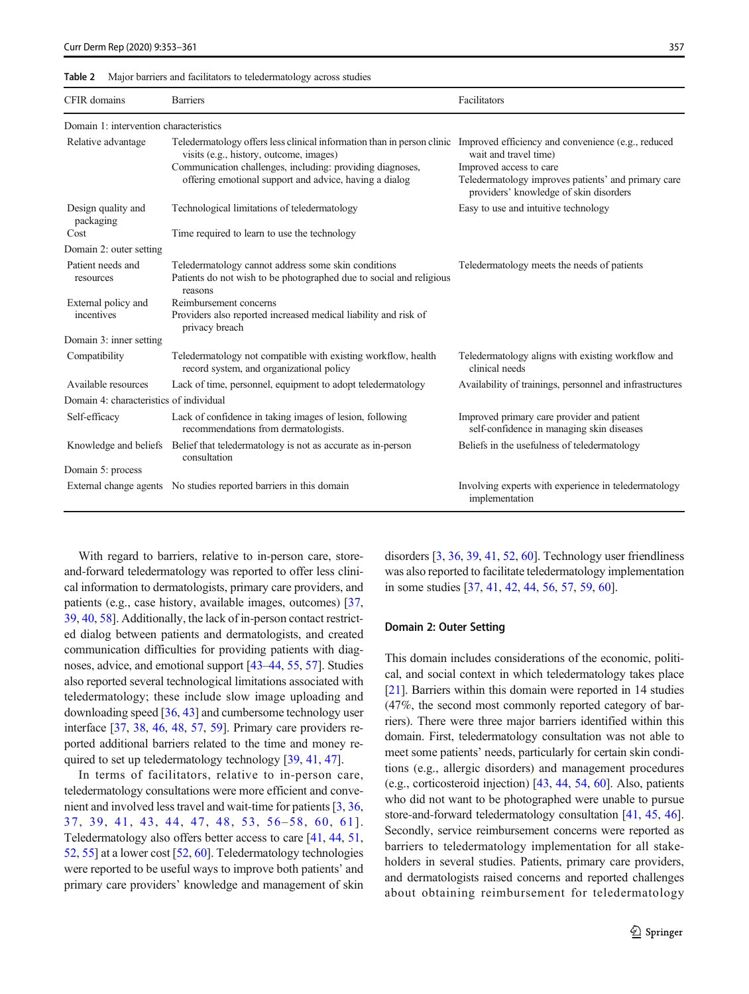<span id="page-4-0"></span>

| CFIR domains                            | <b>Barriers</b>                                                                                                                                                                                                                                                                             | Facilitators                                                                                                                                      |  |  |  |
|-----------------------------------------|---------------------------------------------------------------------------------------------------------------------------------------------------------------------------------------------------------------------------------------------------------------------------------------------|---------------------------------------------------------------------------------------------------------------------------------------------------|--|--|--|
| Domain 1: intervention characteristics  |                                                                                                                                                                                                                                                                                             |                                                                                                                                                   |  |  |  |
| Relative advantage                      | Teledermatology offers less clinical information than in person clinic Improved efficiency and convenience (e.g., reduced<br>visits (e.g., history, outcome, images)<br>Communication challenges, including: providing diagnoses,<br>offering emotional support and advice, having a dialog | wait and travel time)<br>Improved access to care<br>Teledermatology improves patients' and primary care<br>providers' knowledge of skin disorders |  |  |  |
| Design quality and<br>packaging         | Technological limitations of teledermatology                                                                                                                                                                                                                                                | Easy to use and intuitive technology                                                                                                              |  |  |  |
| Cost                                    | Time required to learn to use the technology                                                                                                                                                                                                                                                |                                                                                                                                                   |  |  |  |
| Domain 2: outer setting                 |                                                                                                                                                                                                                                                                                             |                                                                                                                                                   |  |  |  |
| Patient needs and<br>resources          | Teledermatology cannot address some skin conditions<br>Patients do not wish to be photographed due to social and religious<br>reasons                                                                                                                                                       | Teledermatology meets the needs of patients                                                                                                       |  |  |  |
| External policy and<br>incentives       | Reimbursement concerns<br>Providers also reported increased medical liability and risk of<br>privacy breach                                                                                                                                                                                 |                                                                                                                                                   |  |  |  |
| Domain 3: inner setting                 |                                                                                                                                                                                                                                                                                             |                                                                                                                                                   |  |  |  |
| Compatibility                           | Teledermatology not compatible with existing workflow, health<br>record system, and organizational policy                                                                                                                                                                                   | Teledermatology aligns with existing workflow and<br>clinical needs                                                                               |  |  |  |
| Available resources                     | Lack of time, personnel, equipment to adopt teledermatology                                                                                                                                                                                                                                 | Availability of trainings, personnel and infrastructures                                                                                          |  |  |  |
| Domain 4: characteristics of individual |                                                                                                                                                                                                                                                                                             |                                                                                                                                                   |  |  |  |
| Self-efficacy                           | Lack of confidence in taking images of lesion, following<br>recommendations from dermatologists.                                                                                                                                                                                            | Improved primary care provider and patient<br>self-confidence in managing skin diseases                                                           |  |  |  |
|                                         | Knowledge and beliefs Belief that teledermatology is not as accurate as in-person<br>consultation                                                                                                                                                                                           | Beliefs in the usefulness of teledermatology                                                                                                      |  |  |  |
| Domain 5: process                       |                                                                                                                                                                                                                                                                                             |                                                                                                                                                   |  |  |  |
| External change agents                  | No studies reported barriers in this domain                                                                                                                                                                                                                                                 | Involving experts with experience in teledermatology<br>implementation                                                                            |  |  |  |

With regard to barriers, relative to in-person care, storeand-forward teledermatology was reported to offer less clinical information to dermatologists, primary care providers, and patients (e.g., case history, available images, outcomes) [[37,](#page-7-0) [39,](#page-7-0) [40,](#page-8-0) [58](#page-8-0)]. Additionally, the lack of in-person contact restricted dialog between patients and dermatologists, and created communication difficulties for providing patients with diagnoses, advice, and emotional support [\[43](#page-8-0)–[44,](#page-8-0) [55](#page-8-0), [57\]](#page-7-0). Studies also reported several technological limitations associated with teledermatology; these include slow image uploading and downloading speed [\[36,](#page-7-0) [43](#page-8-0)] and cumbersome technology user interface [[37](#page-7-0), [38,](#page-7-0) [46](#page-8-0), [48](#page-8-0), [57,](#page-8-0) [59](#page-8-0)]. Primary care providers reported additional barriers related to the time and money required to set up teledermatology technology [[39](#page-7-0), [41](#page-8-0), [47](#page-8-0)].

In terms of facilitators, relative to in-person care, teledermatology consultations were more efficient and convenient and involved less travel and wait-time for patients [[3](#page-7-0), [36,](#page-7-0) [37,](#page-7-0) [39](#page-7-0), [41](#page-8-0), [43](#page-8-0), 44, [47,](#page-8-0) 48, [53](#page-8-0), [56](#page-8-0)-58, [60](#page-8-0), 61]. Teledermatology also offers better access to care [\[41,](#page-8-0) [44,](#page-8-0) [51,](#page-8-0) [52,](#page-8-0) [55](#page-8-0)] at a lower cost [\[52](#page-8-0), [60\]](#page-8-0). Teledermatology technologies were reported to be useful ways to improve both patients' and primary care providers' knowledge and management of skin

disorders [[3,](#page-7-0) [36](#page-7-0), [39,](#page-7-0) [41](#page-8-0), [52,](#page-8-0) [60](#page-8-0)]. Technology user friendliness was also reported to facilitate teledermatology implementation in some studies [\[37,](#page-7-0) [41,](#page-8-0) [42,](#page-8-0) [44,](#page-8-0) [56](#page-8-0), [57](#page-8-0), [59,](#page-8-0) [60\]](#page-8-0).

#### Domain 2: Outer Setting

This domain includes considerations of the economic, political, and social context in which teledermatology takes place [\[21\]](#page-7-0). Barriers within this domain were reported in 14 studies (47%, the second most commonly reported category of barriers). There were three major barriers identified within this domain. First, teledermatology consultation was not able to meet some patients' needs, particularly for certain skin conditions (e.g., allergic disorders) and management procedures (e.g., corticosteroid injection) [\[43,](#page-8-0) [44,](#page-8-0) [54](#page-8-0), [60](#page-8-0)]. Also, patients who did not want to be photographed were unable to pursue store-and-forward teledermatology consultation [\[41,](#page-8-0) [45](#page-8-0), [46\]](#page-8-0). Secondly, service reimbursement concerns were reported as barriers to teledermatology implementation for all stakeholders in several studies. Patients, primary care providers, and dermatologists raised concerns and reported challenges about obtaining reimbursement for teledermatology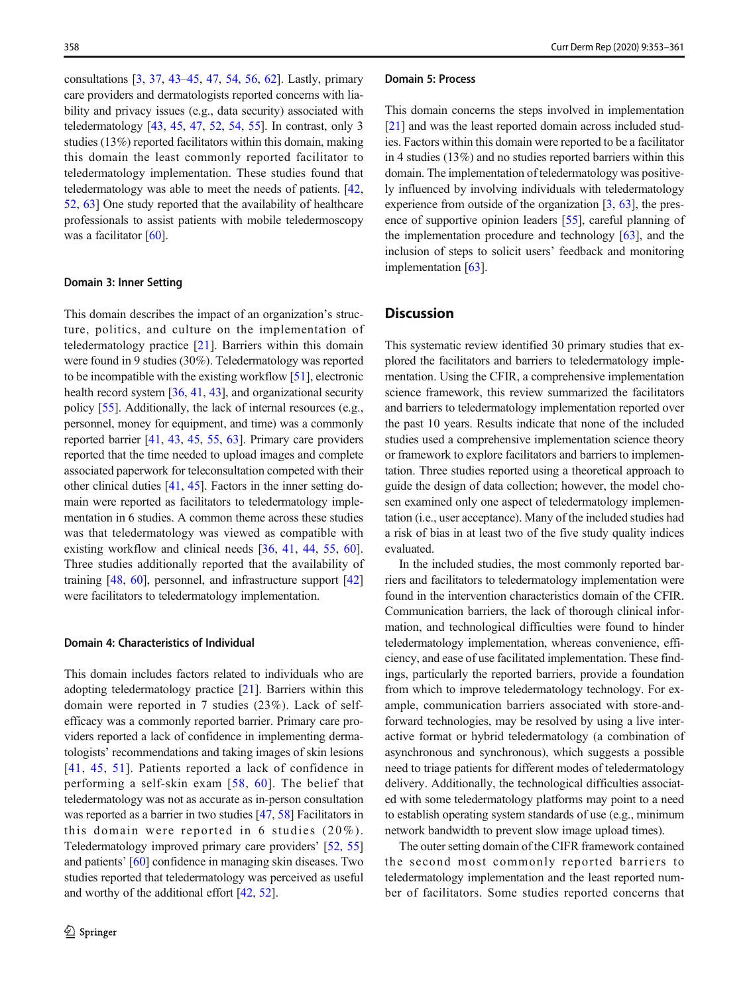consultations [\[3](#page-7-0), [37,](#page-7-0) [43](#page-8-0)–[45,](#page-8-0) [47,](#page-8-0) [54](#page-8-0), [56,](#page-8-0) [62](#page-8-0)]. Lastly, primary care providers and dermatologists reported concerns with liability and privacy issues (e.g., data security) associated with teledermatology [\[43,](#page-8-0) [45](#page-8-0), [47,](#page-8-0) [52](#page-8-0), [54,](#page-8-0) [55](#page-8-0)]. In contrast, only 3 studies (13%) reported facilitators within this domain, making this domain the least commonly reported facilitator to teledermatology implementation. These studies found that teledermatology was able to meet the needs of patients. [[42,](#page-8-0) [52,](#page-8-0) [63\]](#page-8-0) One study reported that the availability of healthcare professionals to assist patients with mobile teledermoscopy was a facilitator [[60](#page-8-0)].

#### Domain 3: Inner Setting

This domain describes the impact of an organization's structure, politics, and culture on the implementation of teledermatology practice [\[21](#page-7-0)]. Barriers within this domain were found in 9 studies (30%). Teledermatology was reported to be incompatible with the existing workflow [[51](#page-8-0)], electronic health record system [[36,](#page-7-0) [41](#page-8-0), [43](#page-8-0)], and organizational security policy [\[55\]](#page-8-0). Additionally, the lack of internal resources (e.g., personnel, money for equipment, and time) was a commonly reported barrier [\[41](#page-8-0), [43,](#page-8-0) [45](#page-8-0), [55,](#page-8-0) [63](#page-8-0)]. Primary care providers reported that the time needed to upload images and complete associated paperwork for teleconsultation competed with their other clinical duties [\[41,](#page-8-0) [45](#page-8-0)]. Factors in the inner setting domain were reported as facilitators to teledermatology implementation in 6 studies. A common theme across these studies was that teledermatology was viewed as compatible with existing workflow and clinical needs [[36](#page-7-0), [41,](#page-8-0) [44,](#page-8-0) [55](#page-8-0), [60](#page-8-0)]. Three studies additionally reported that the availability of training [[48,](#page-8-0) [60\]](#page-8-0), personnel, and infrastructure support [\[42\]](#page-8-0) were facilitators to teledermatology implementation.

#### Domain 4: Characteristics of Individual

This domain includes factors related to individuals who are adopting teledermatology practice [[21\]](#page-7-0). Barriers within this domain were reported in 7 studies (23%). Lack of selfefficacy was a commonly reported barrier. Primary care providers reported a lack of confidence in implementing dermatologists' recommendations and taking images of skin lesions [[41](#page-8-0), [45,](#page-8-0) [51](#page-8-0)]. Patients reported a lack of confidence in performing a self-skin exam [[58](#page-8-0), [60](#page-8-0)]. The belief that teledermatology was not as accurate as in-person consultation was reported as a barrier in two studies [\[47](#page-8-0), [58\]](#page-8-0) Facilitators in this domain were reported in 6 studies (20%). Teledermatology improved primary care providers' [[52](#page-8-0), [55\]](#page-8-0) and patients' [[60\]](#page-8-0) confidence in managing skin diseases. Two studies reported that teledermatology was perceived as useful and worthy of the additional effort [\[42](#page-8-0), [52\]](#page-8-0).

#### Domain 5: Process

This domain concerns the steps involved in implementation [\[21](#page-7-0)] and was the least reported domain across included studies. Factors within this domain were reported to be a facilitator in 4 studies (13%) and no studies reported barriers within this domain. The implementation of teledermatology was positively influenced by involving individuals with teledermatology experience from outside of the organization  $[3, 63]$  $[3, 63]$  $[3, 63]$  $[3, 63]$ , the presence of supportive opinion leaders [\[55\]](#page-8-0), careful planning of the implementation procedure and technology [[63](#page-8-0)], and the inclusion of steps to solicit users' feedback and monitoring implementation [[63](#page-8-0)].

# **Discussion**

This systematic review identified 30 primary studies that explored the facilitators and barriers to teledermatology implementation. Using the CFIR, a comprehensive implementation science framework, this review summarized the facilitators and barriers to teledermatology implementation reported over the past 10 years. Results indicate that none of the included studies used a comprehensive implementation science theory or framework to explore facilitators and barriers to implementation. Three studies reported using a theoretical approach to guide the design of data collection; however, the model chosen examined only one aspect of teledermatology implementation (i.e., user acceptance). Many of the included studies had a risk of bias in at least two of the five study quality indices evaluated.

In the included studies, the most commonly reported barriers and facilitators to teledermatology implementation were found in the intervention characteristics domain of the CFIR. Communication barriers, the lack of thorough clinical information, and technological difficulties were found to hinder teledermatology implementation, whereas convenience, efficiency, and ease of use facilitated implementation. These findings, particularly the reported barriers, provide a foundation from which to improve teledermatology technology. For example, communication barriers associated with store-andforward technologies, may be resolved by using a live interactive format or hybrid teledermatology (a combination of asynchronous and synchronous), which suggests a possible need to triage patients for different modes of teledermatology delivery. Additionally, the technological difficulties associated with some teledermatology platforms may point to a need to establish operating system standards of use (e.g., minimum network bandwidth to prevent slow image upload times).

The outer setting domain of the CIFR framework contained the second most commonly reported barriers to teledermatology implementation and the least reported number of facilitators. Some studies reported concerns that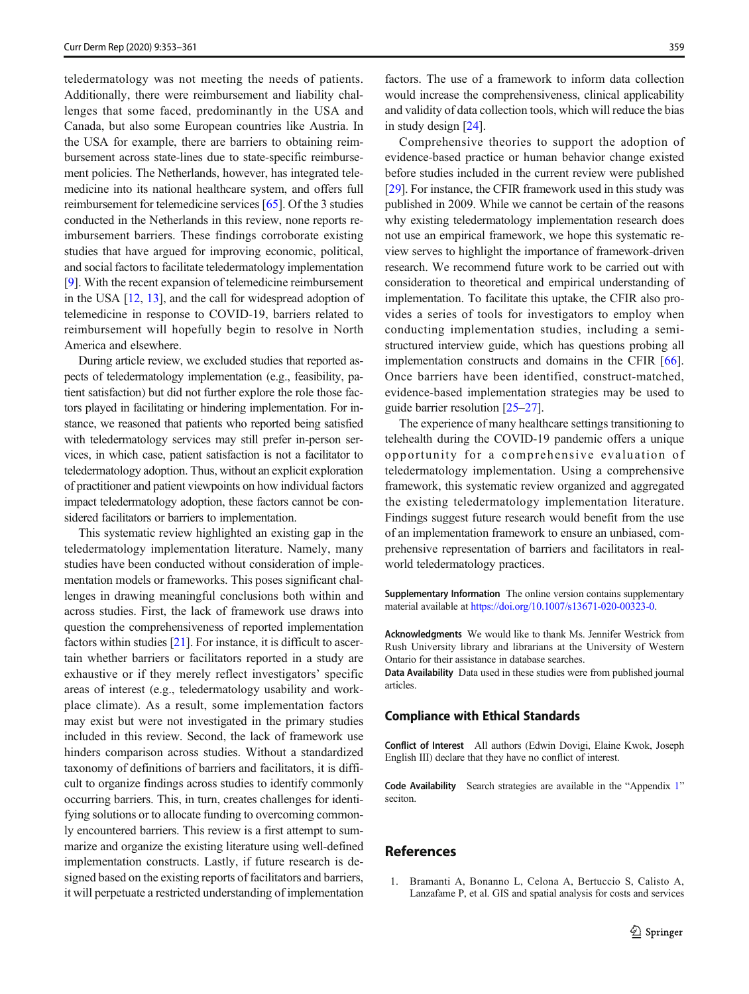<span id="page-6-0"></span>teledermatology was not meeting the needs of patients. Additionally, there were reimbursement and liability challenges that some faced, predominantly in the USA and Canada, but also some European countries like Austria. In the USA for example, there are barriers to obtaining reimbursement across state-lines due to state-specific reimbursement policies. The Netherlands, however, has integrated telemedicine into its national healthcare system, and offers full reimbursement for telemedicine services [[65](#page-8-0)]. Of the 3 studies conducted in the Netherlands in this review, none reports reimbursement barriers. These findings corroborate existing studies that have argued for improving economic, political, and social factors to facilitate teledermatology implementation [\[9](#page-7-0)]. With the recent expansion of telemedicine reimbursement in the USA [[12](#page-7-0), [13\]](#page-7-0), and the call for widespread adoption of telemedicine in response to COVID-19, barriers related to reimbursement will hopefully begin to resolve in North America and elsewhere.

During article review, we excluded studies that reported aspects of teledermatology implementation (e.g., feasibility, patient satisfaction) but did not further explore the role those factors played in facilitating or hindering implementation. For instance, we reasoned that patients who reported being satisfied with teledermatology services may still prefer in-person services, in which case, patient satisfaction is not a facilitator to teledermatology adoption. Thus, without an explicit exploration of practitioner and patient viewpoints on how individual factors impact teledermatology adoption, these factors cannot be considered facilitators or barriers to implementation.

This systematic review highlighted an existing gap in the teledermatology implementation literature. Namely, many studies have been conducted without consideration of implementation models or frameworks. This poses significant challenges in drawing meaningful conclusions both within and across studies. First, the lack of framework use draws into question the comprehensiveness of reported implementation factors within studies [\[21](#page-7-0)]. For instance, it is difficult to ascertain whether barriers or facilitators reported in a study are exhaustive or if they merely reflect investigators' specific areas of interest (e.g., teledermatology usability and workplace climate). As a result, some implementation factors may exist but were not investigated in the primary studies included in this review. Second, the lack of framework use hinders comparison across studies. Without a standardized taxonomy of definitions of barriers and facilitators, it is difficult to organize findings across studies to identify commonly occurring barriers. This, in turn, creates challenges for identifying solutions or to allocate funding to overcoming commonly encountered barriers. This review is a first attempt to summarize and organize the existing literature using well-defined implementation constructs. Lastly, if future research is designed based on the existing reports of facilitators and barriers, it will perpetuate a restricted understanding of implementation

factors. The use of a framework to inform data collection would increase the comprehensiveness, clinical applicability and validity of data collection tools, which will reduce the bias in study design [\[24\]](#page-7-0).

Comprehensive theories to support the adoption of evidence-based practice or human behavior change existed before studies included in the current review were published [\[29](#page-7-0)]. For instance, the CFIR framework used in this study was published in 2009. While we cannot be certain of the reasons why existing teledermatology implementation research does not use an empirical framework, we hope this systematic review serves to highlight the importance of framework-driven research. We recommend future work to be carried out with consideration to theoretical and empirical understanding of implementation. To facilitate this uptake, the CFIR also provides a series of tools for investigators to employ when conducting implementation studies, including a semistructured interview guide, which has questions probing all implementation constructs and domains in the CFIR [\[66\]](#page-8-0). Once barriers have been identified, construct-matched, evidence-based implementation strategies may be used to guide barrier resolution [[25](#page-7-0)–[27](#page-7-0)].

The experience of many healthcare settings transitioning to telehealth during the COVID-19 pandemic offers a unique opportunity for a comprehensive evaluation of teledermatology implementation. Using a comprehensive framework, this systematic review organized and aggregated the existing teledermatology implementation literature. Findings suggest future research would benefit from the use of an implementation framework to ensure an unbiased, comprehensive representation of barriers and facilitators in realworld teledermatology practices.

Supplementary Information The online version contains supplementary material available at [https://doi.org/10.1007/s13671-020-00323-0.](https://doi.org/10.1007/s13671-020-00323-0)

Acknowledgments We would like to thank Ms. Jennifer Westrick from Rush University library and librarians at the University of Western Ontario for their assistance in database searches.

Data Availability Data used in these studies were from published journal articles.

#### Compliance with Ethical Standards

Conflict of Interest All authors (Edwin Dovigi, Elaine Kwok, Joseph English III) declare that they have no conflict of interest.

Code Availability Search strategies are available in the "Appendix 1" seciton.

#### References

1. Bramanti A, Bonanno L, Celona A, Bertuccio S, Calisto A, Lanzafame P, et al. GIS and spatial analysis for costs and services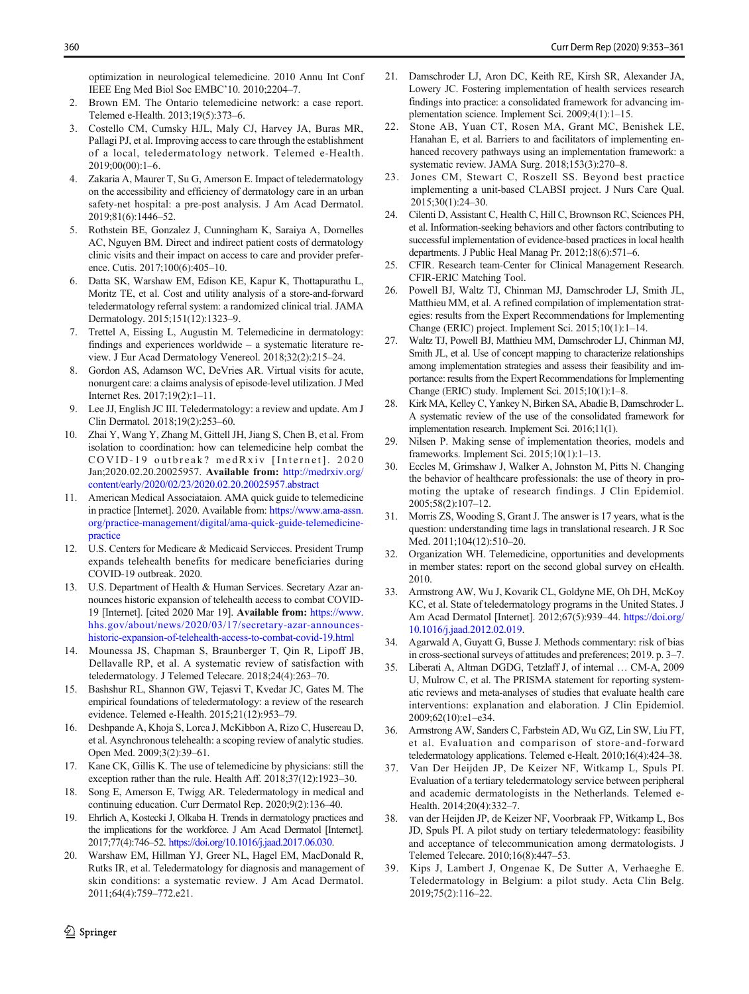<span id="page-7-0"></span>optimization in neurological telemedicine. 2010 Annu Int Conf IEEE Eng Med Biol Soc EMBC'10. 2010;2204–7.

- 2. Brown EM. The Ontario telemedicine network: a case report. Telemed e-Health. 2013;19(5):373–6.
- 3. Costello CM, Cumsky HJL, Maly CJ, Harvey JA, Buras MR, Pallagi PJ, et al. Improving access to care through the establishment of a local, teledermatology network. Telemed e-Health. 2019;00(00):1–6.
- 4. Zakaria A, Maurer T, Su G, Amerson E. Impact of teledermatology on the accessibility and efficiency of dermatology care in an urban safety-net hospital: a pre-post analysis. J Am Acad Dermatol. 2019;81(6):1446–52.
- 5. Rothstein BE, Gonzalez J, Cunningham K, Saraiya A, Dornelles AC, Nguyen BM. Direct and indirect patient costs of dermatology clinic visits and their impact on access to care and provider preference. Cutis. 2017;100(6):405–10.
- Datta SK, Warshaw EM, Edison KE, Kapur K, Thottapurathu L, Moritz TE, et al. Cost and utility analysis of a store-and-forward teledermatology referral system: a randomized clinical trial. JAMA Dermatology. 2015;151(12):1323–9.
- 7. Trettel A, Eissing L, Augustin M. Telemedicine in dermatology: findings and experiences worldwide – a systematic literature review. J Eur Acad Dermatology Venereol. 2018;32(2):215–24.
- 8. Gordon AS, Adamson WC, DeVries AR. Virtual visits for acute, nonurgent care: a claims analysis of episode-level utilization. J Med Internet Res. 2017;19(2):1–11.
- 9. Lee JJ, English JC III. Teledermatology: a review and update. Am J Clin Dermatol. 2018;19(2):253–60.
- 10. Zhai Y, Wang Y, Zhang M, Gittell JH, Jiang S, Chen B, et al. From isolation to coordination: how can telemedicine help combat the COVID-19 outbreak? medRxiv [Internet]. 2020 Jan;2020.02.20.20025957. Available from: [http://medrxiv.org/](http://medrxiv.org/content/early/2020/02/23/2020.02.20.20025957.abstract) [content/early/2020/02/23/2020.02.20.20025957.abstract](http://medrxiv.org/content/early/2020/02/23/2020.02.20.20025957.abstract)
- 11. American Medical Associataion. AMA quick guide to telemedicine in practice [Internet]. 2020. Available from: [https://www.ama-assn.](https://www.amassn.org/practiceanagement/digital/ama-uickuide-elemedicine-ractice) [org/practice-management/digital/ama-quick-guide-telemedicine](https://www.amassn.org/practiceanagement/digital/ama-uickuide-elemedicine-ractice)[practice](https://www.amassn.org/practiceanagement/digital/ama-uickuide-elemedicine-ractice)
- 12. U.S. Centers for Medicare & Medicaid Servicces. President Trump expands telehealth benefits for medicare beneficiaries during COVID-19 outbreak. 2020.
- 13. U.S. Department of Health & Human Services. Secretary Azar announces historic expansion of telehealth access to combat COVID-19 [Internet]. [cited 2020 Mar 19]. Available from: [https://www.](https://www.hhs.gov/about/news/2020/03/17/secretaryzarnnouncesistoricxpansionf-elehealthccess-oombatovidhtml) [hhs.gov/about/news/2020/03/17/secretary-azar-announces](https://www.hhs.gov/about/news/2020/03/17/secretaryzarnnouncesistoricxpansionf-elehealthccess-oombatovidhtml)[historic-expansion-of-telehealth-access-to-combat-covid-19.html](https://www.hhs.gov/about/news/2020/03/17/secretaryzarnnouncesistoricxpansionf-elehealthccess-oombatovidhtml)
- 14. Mounessa JS, Chapman S, Braunberger T, Qin R, Lipoff JB, Dellavalle RP, et al. A systematic review of satisfaction with teledermatology. J Telemed Telecare. 2018;24(4):263–70.
- 15. Bashshur RL, Shannon GW, Tejasvi T, Kvedar JC, Gates M. The empirical foundations of teledermatology: a review of the research evidence. Telemed e-Health. 2015;21(12):953–79.
- 16. Deshpande A, Khoja S, Lorca J, McKibbon A, Rizo C, Husereau D, et al. Asynchronous telehealth: a scoping review of analytic studies. Open Med. 2009;3(2):39–61.
- 17. Kane CK, Gillis K. The use of telemedicine by physicians: still the exception rather than the rule. Health Aff. 2018;37(12):1923–30.
- Song E, Amerson E, Twigg AR. Teledermatology in medical and continuing education. Curr Dermatol Rep. 2020;9(2):136–40.
- 19. Ehrlich A, Kostecki J, Olkaba H. Trends in dermatology practices and the implications for the workforce. J Am Acad Dermatol [Internet]. 2017;77(4):746–52. [https://doi.org/10.1016/j.jaad.2017.06.030.](https://doi.org/10.1016/j.jaad.2017.06.030)
- 20. Warshaw EM, Hillman YJ, Greer NL, Hagel EM, MacDonald R, Rutks IR, et al. Teledermatology for diagnosis and management of skin conditions: a systematic review. J Am Acad Dermatol. 2011;64(4):759–772.e21.
- 21. Damschroder LJ, Aron DC, Keith RE, Kirsh SR, Alexander JA, Lowery JC. Fostering implementation of health services research findings into practice: a consolidated framework for advancing implementation science. Implement Sci. 2009;4(1):1–15.
- 22. Stone AB, Yuan CT, Rosen MA, Grant MC, Benishek LE, Hanahan E, et al. Barriers to and facilitators of implementing enhanced recovery pathways using an implementation framework: a systematic review. JAMA Surg. 2018;153(3):270–8.
- 23. Jones CM, Stewart C, Roszell SS. Beyond best practice implementing a unit-based CLABSI project. J Nurs Care Qual. 2015;30(1):24–30.
- 24. Cilenti D, Assistant C, Health C, Hill C, Brownson RC, Sciences PH, et al. Information-seeking behaviors and other factors contributing to successful implementation of evidence-based practices in local health departments. J Public Heal Manag Pr. 2012;18(6):571–6.
- 25. CFIR. Research team-Center for Clinical Management Research. CFIR-ERIC Matching Tool.
- 26. Powell BJ, Waltz TJ, Chinman MJ, Damschroder LJ, Smith JL, Matthieu MM, et al. A refined compilation of implementation strategies: results from the Expert Recommendations for Implementing Change (ERIC) project. Implement Sci. 2015;10(1):1–14.
- 27. Waltz TJ, Powell BJ, Matthieu MM, Damschroder LJ, Chinman MJ, Smith JL, et al. Use of concept mapping to characterize relationships among implementation strategies and assess their feasibility and importance: results from the Expert Recommendations for Implementing Change (ERIC) study. Implement Sci. 2015;10(1):1–8.
- 28. Kirk MA, Kelley C, Yankey N, Birken SA, Abadie B, Damschroder L. A systematic review of the use of the consolidated framework for implementation research. Implement Sci. 2016;11(1).
- 29. Nilsen P. Making sense of implementation theories, models and frameworks. Implement Sci. 2015;10(1):1–13.
- Eccles M, Grimshaw J, Walker A, Johnston M, Pitts N. Changing the behavior of healthcare professionals: the use of theory in promoting the uptake of research findings. J Clin Epidemiol. 2005;58(2):107–12.
- 31. Morris ZS, Wooding S, Grant J. The answer is 17 years, what is the question: understanding time lags in translational research. J R Soc Med. 2011;104(12):510–20.
- 32. Organization WH. Telemedicine, opportunities and developments in member states: report on the second global survey on eHealth. 2010.
- 33. Armstrong AW, Wu J, Kovarik CL, Goldyne ME, Oh DH, McKoy KC, et al. State of teledermatology programs in the United States. J Am Acad Dermatol [Internet]. 2012;67(5):939–44. [https://doi.org/](https://doi.org/10.1016/j.jaad.2012.02.019) [10.1016/j.jaad.2012.02.019](https://doi.org/10.1016/j.jaad.2012.02.019).
- 34. Agarwald A, Guyatt G, Busse J. Methods commentary: risk of bias in cross-sectional surveys of attitudes and preferences; 2019. p. 3–7.
- 35. Liberati A, Altman DGDG, Tetzlaff J, of internal … CM-A, 2009 U, Mulrow C, et al. The PRISMA statement for reporting systematic reviews and meta-analyses of studies that evaluate health care interventions: explanation and elaboration. J Clin Epidemiol. 2009;62(10):e1–e34.
- 36. Armstrong AW, Sanders C, Farbstein AD, Wu GZ, Lin SW, Liu FT, et al. Evaluation and comparison of store-and-forward teledermatology applications. Telemed e-Healt. 2010;16(4):424–38.
- 37. Van Der Heijden JP, De Keizer NF, Witkamp L, Spuls PI. Evaluation of a tertiary teledermatology service between peripheral and academic dermatologists in the Netherlands. Telemed e-Health. 2014;20(4):332–7.
- 38. van der Heijden JP, de Keizer NF, Voorbraak FP, Witkamp L, Bos JD, Spuls PI. A pilot study on tertiary teledermatology: feasibility and acceptance of telecommunication among dermatologists. J Telemed Telecare. 2010;16(8):447–53.
- 39. Kips J, Lambert J, Ongenae K, De Sutter A, Verhaeghe E. Teledermatology in Belgium: a pilot study. Acta Clin Belg. 2019;75(2):116–22.